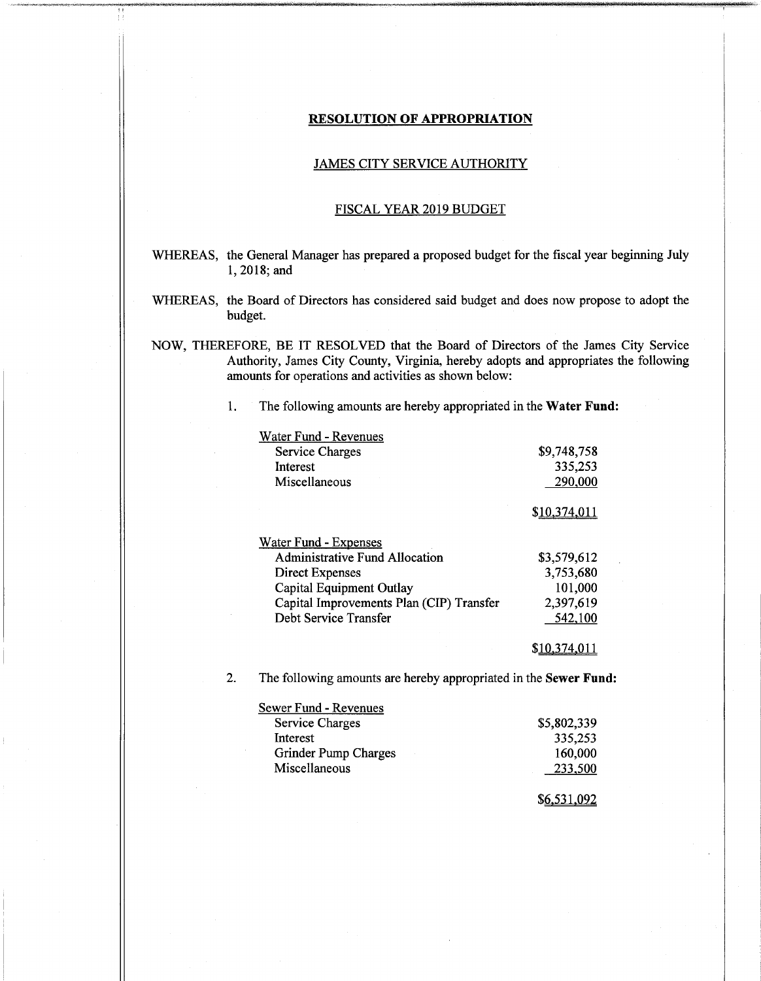## **RESOLUTION OF APPROPRIATION**

### JAMES CITY SERVICE AUTHORITY

#### FISCAL YEAR 2019 BUDGET

- WHEREAS, the General Manager has prepared a proposed budget for the fiscal year beginning July 1, 2018; and
- WHEREAS, the Board of Directors has considered said budget and does now propose to adopt the budget.
- NOW, THEREFORE, BE IT RESOLVED that the Board of Directors of the James City Service Authority, James City County, Virginia, hereby adopts and appropriates the following amounts for operations and activities as shown below:

1. The following amounts are hereby appropriated in the **Water Fund:**

| Water Fund - Revenues                    |             |
|------------------------------------------|-------------|
| <b>Service Charges</b>                   | \$9,748,758 |
| Interest                                 | 335,253     |
| Miscellaneous                            | 290,000     |
|                                          | \$10,374,0  |
| <b>Water Fund - Expenses</b>             |             |
| <b>Administrative Fund Allocation</b>    | \$3,579,612 |
| Direct Expenses                          | 3,753,680   |
| Capital Equipment Outlay                 | 101,000     |
| Capital Improvements Plan (CIP) Transfer | 2,397,619   |
| Debt Service Transfer                    | 542,100     |
|                                          |             |

2. The following amounts are hereby appropriated in the **Sewer Fund:**

| Sewer Fund - Revenues |             |
|-----------------------|-------------|
| Service Charges       | \$5,802,339 |
| Interest              | 335,253     |
| Grinder Pump Charges  | 160,000     |
| Miscellaneous         | 233,500     |
|                       |             |

\$6-531.092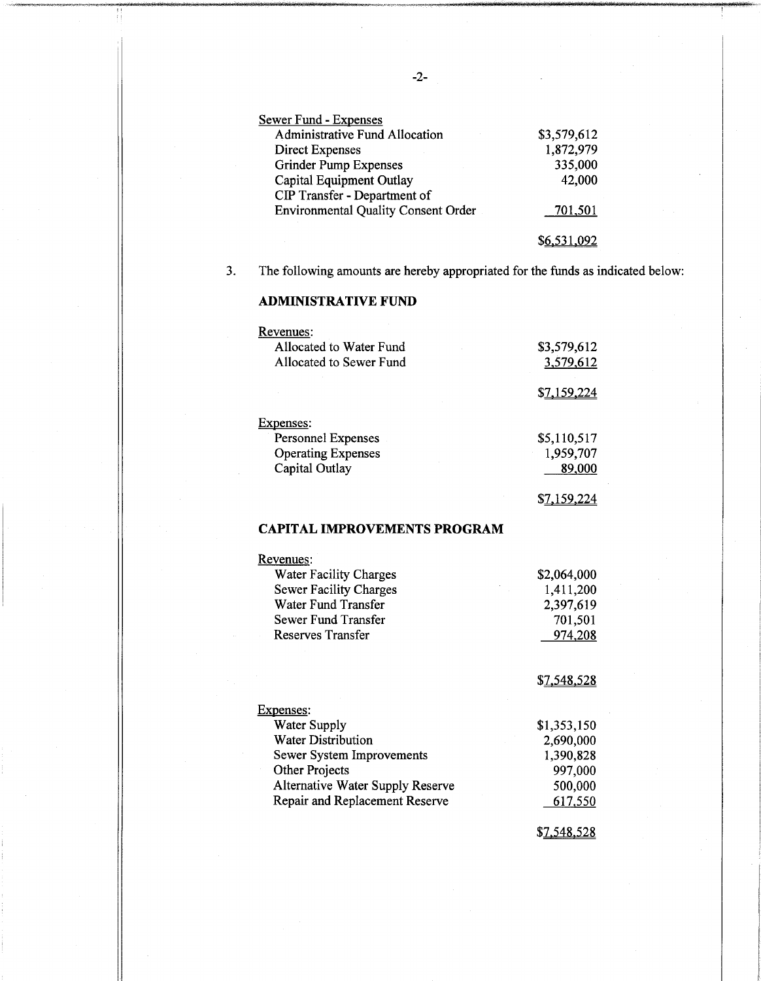| <b>Sewer Fund - Expenses</b>               |                   |
|--------------------------------------------|-------------------|
| Administrative Fund Allocation             | \$3,579,612       |
| <b>Direct Expenses</b>                     | 1,872,979         |
| <b>Grinder Pump Expenses</b>               | 335,000           |
| Capital Equipment Outlay                   | 42,000            |
| CIP Transfer - Department of               |                   |
| <b>Environmental Quality Consent Order</b> | 701,501           |
|                                            |                   |
|                                            | <u>56,531,092</u> |

**3.** The following amounts are hereby appropriated for the funds as indicated below:

# **ADMINISTRATIVE FUND**

| Revenues:                 |                    |
|---------------------------|--------------------|
| Allocated to Water Fund   | \$3,579,612        |
| Allocated to Sewer Fund   | 3,579,612          |
|                           | <u>\$7,159,224</u> |
| xpenses:                  |                    |
| <b>Personnel Expenses</b> | \$5,110,517        |
| <b>Operating Expenses</b> | 1,959,707          |
| Capital Outlay            | 89,000             |
|                           |                    |

# **CAPITAL IMPROVEMENTS PROGRAM**

| Revenues:                               |                    |
|-----------------------------------------|--------------------|
| <b>Water Facility Charges</b>           | \$2,064,000        |
| <b>Sewer Facility Charges</b>           | 1,411,200          |
| Water Fund Transfer                     | 2,397,619          |
| Sewer Fund Transfer                     | 701,501            |
| Reserves Transfer                       | 974,208            |
|                                         |                    |
|                                         | <u>\$7,548,528</u> |
| Expenses:                               |                    |
| Water Supply                            | \$1,353,150        |
| <b>Water Distribution</b>               | 2,690,000          |
| Sewer System Improvements               | 1,390,828          |
| <b>Other Projects</b>                   | 997,000            |
| <b>Alternative Water Supply Reserve</b> | 500,000            |
| Repair and Replacement Reserve          | 617,550            |
|                                         |                    |

\$7.548.528